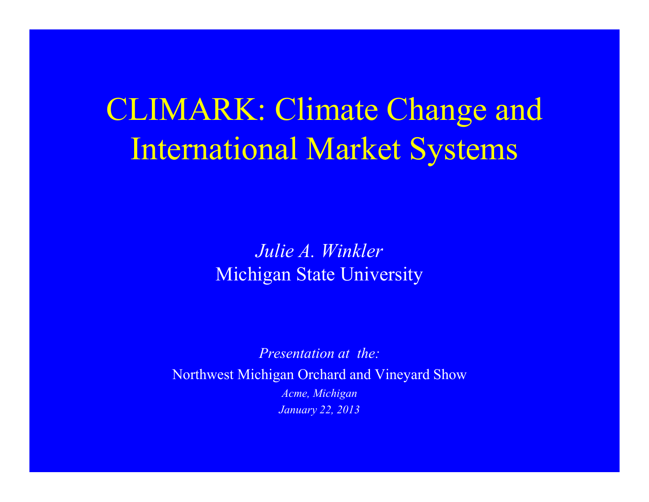# CLIMARK: Climate Change and International Market Systems

*Julie A. Winkler*Michigan State University

*Presentation at the:* Northwest Michigan Orchard and Vineyard Show*Acme, MichiganJanuary 22, 2013*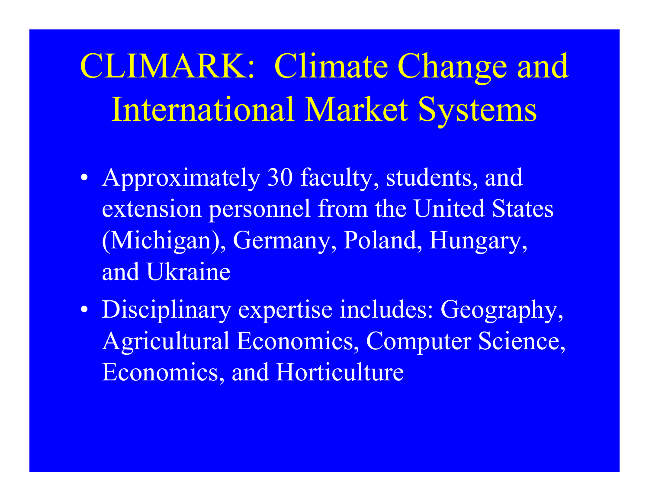# CLIMARK: Climate Change and International Market Systems

- Approximately 30 faculty, students, and extension personnel from the United States (Michigan), Germany, Poland, Hungary, and Ukraine
- Disciplinary expertise includes: Geography, Agricultural Economics, Computer Science, Economics, and Horticulture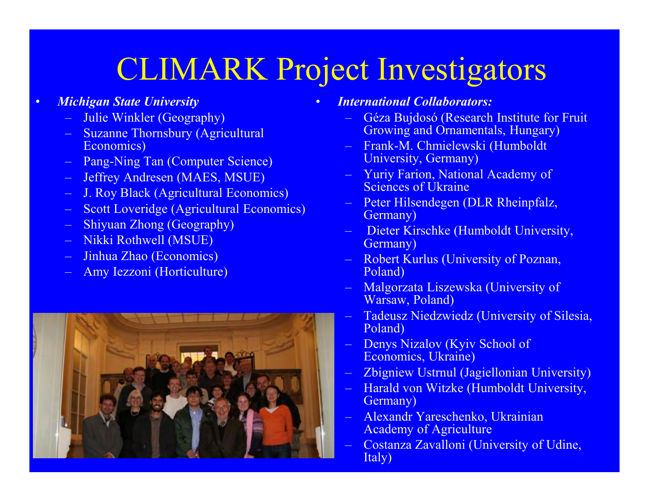## CLIMARK Project Investigators

•

- • *Michigan State University*
	- Julie Winkler (Geography)
	- Suzanne Thornsbury (Agricultural Economics)
	- Pang-Ning Tan (Computer Science)
	- Jeffrey Andresen (MAES, MSUE)
	- J. Roy Black (Agricultural Economics)
	- Scott Loveridge (Agricultural Economics)
	- $-$  Shiyuan Zhong (Geography)
	- Nikki Rothwell (MSUE)
	- Jinhua Zhao (Economics)
	- Amy Iezzoni (Horticulture)



- *International Collaborators:* 
	- Géza Bujdosό (Research Institute for Fruit Growing and Ornamentals, Hungary)
	- Frank-M. Chmielewski (Humboldt University, Germany)
	- Yuriy Farion, National Academy of<br>Sciences of Ukraine Sciences of Ukraine
	- Peter Hilsendegen (DLR Rheinpfalz, Germany)
	- Dieter Kirschke (Humboldt University,<br>Germany) Germany)
	- Robert Kurlus (University of Poznan, Poland) Poland)
	- Malgorzata Liszewska (University of<br>Warsaw Poland) Warsaw, Poland)
	- Tadeusz Niedzwiedz (University of Silesia, Poland)
	- Denys Nizalov (Kyiv School of Economics, Ukraine)
	- Zbigniew Ustrnul (Jagiellonian University)
	- Harald von Witzke (Humboldt University, Germany)
	- Alexandr Yareschenko, Ukrainian<br>Academy of Agriculture Academy of Agriculture
	- Costanza Zavalloni (University of Udine, Italy)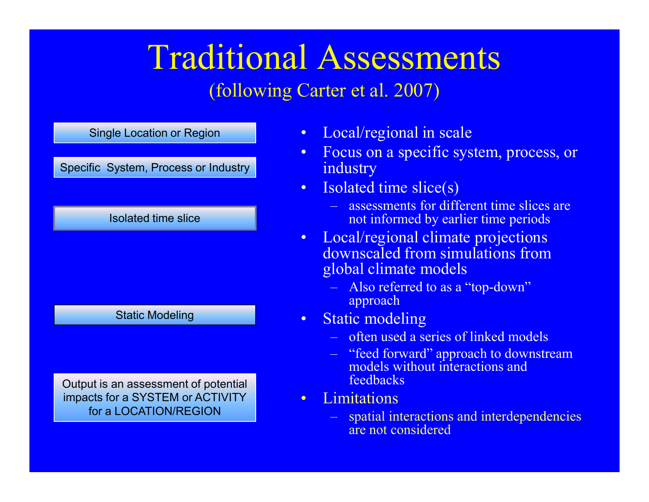### Traditional Assessments(following Carter et al. 2007)

### Single Location or Region

Specific System, Process or Industry

Isolated time slice

Static Modeling

Output is an assessment of potential impacts for a SYSTEM or ACTIVITY for a LOCATION/REGION

- $\bullet$ Local/regional in scale
- $\bullet$  Focus on a specific system, process, or industry
- Isolated time slice(s)  $\bullet$ 
	- assessments for different time slices are not informed by earlier time periods
- Local/regional climate projections<br>downscaled from simulations from  $\bullet$ downscaled from simulations from global climate models
	- Also referred to as a "top-down" approach
- Static modeling  $\bullet$ 
	- often used a series of linked models
	- "feed forward" approach to downstream models without interactions and feedbacks
- • Limitations
	- spatial interactions and interdependencies are not considered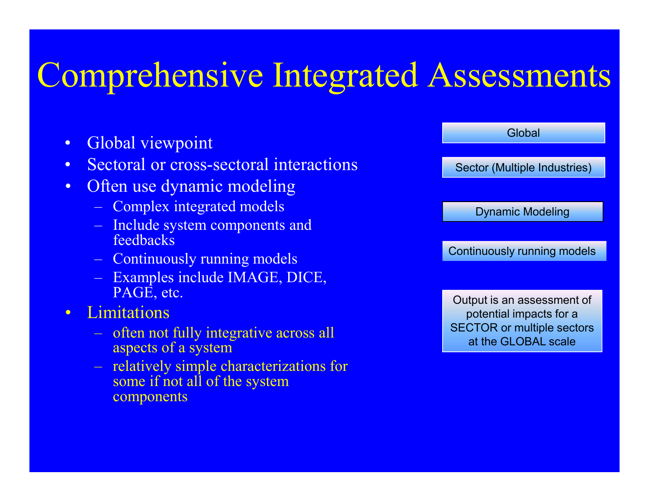# Comprehensive Integrated Assessments

- $\bullet$ Global viewpoint
- •Sectoral or cross-sectoral interactions
- • Often use dynamic modeling
	- Complex integrated models
	- Include system components and<br>feedbacks **feedbacks**
	- Continuously running models
	- Examples include IMAGE, DICE,<br>PAGE etc PAGE, etc.
- $\bullet$  Limitations
	- often not fully integrative across all aspects of a system
	- relatively simple characterizations for<br>some if not all of the system some if not all of the system components

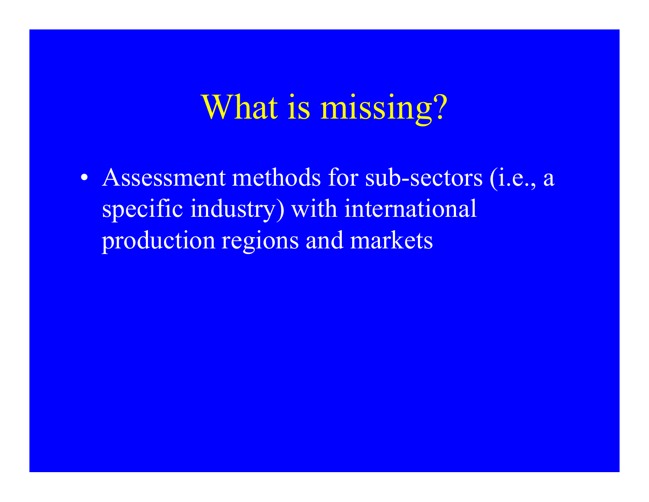# What is missing?

• Assessment methods for sub-sectors (i.e., a specific industry) with international production regions and markets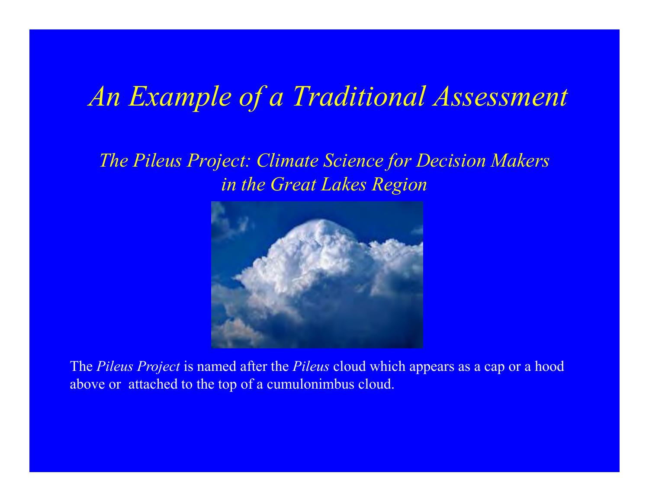## *An Example of a Traditional Assessment*

### *The Pileus Project: Climate Science for Decision Makers in the Great Lakes Region*



above or attached to the top of a cumulonimbus cloud. above or attached to the top or attached to the top of a cumulonimity cloud. The name was chosen to the name w The *Pileus Project* is named after the *Pileus* cloud which appears as a cap or a hood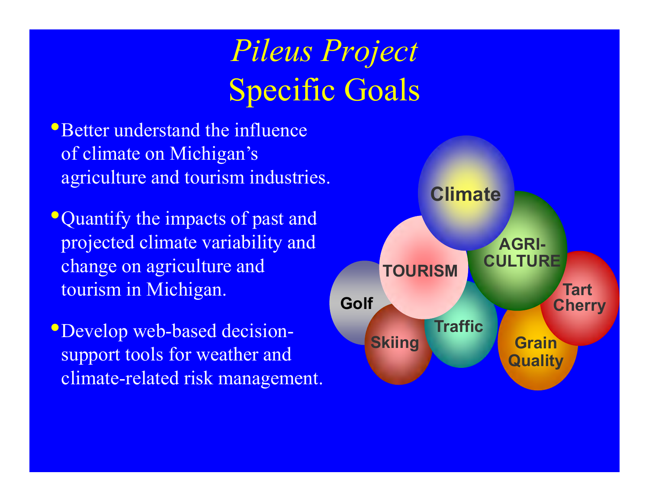# *Pileus Project* Specific Goals

•Better understand the influence of climate on Michigan's agriculture and tourism industries.

•Quantify the impacts of past and projected climate variability and change on agriculture and tourism in Michigan.

•Develop web-based decisionsupport tools for weather and climate-related risk management.

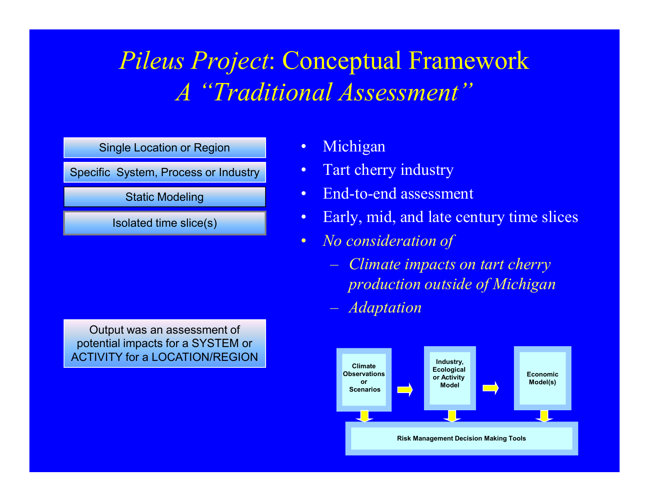### *Pileus Project*: Conceptual Framework *A "Traditional Assessment"*

Single Location or Region

Specific System, Process or Industry

Static Modeling

Isolated time slice(s)

Output was an assessment of potential impacts for a SYSTEM or ACTIVITY for a LOCATION/REGION

- •Michigan
- $\bullet$ Tart cherry industry
- •End-to-end assessment
- $\bullet$ Early, mid, and late century time slices
- $\bullet$  *No consideration of*
	- *Climate impacts on tart cherry production outside of Michigan*
	- *Adaptation*

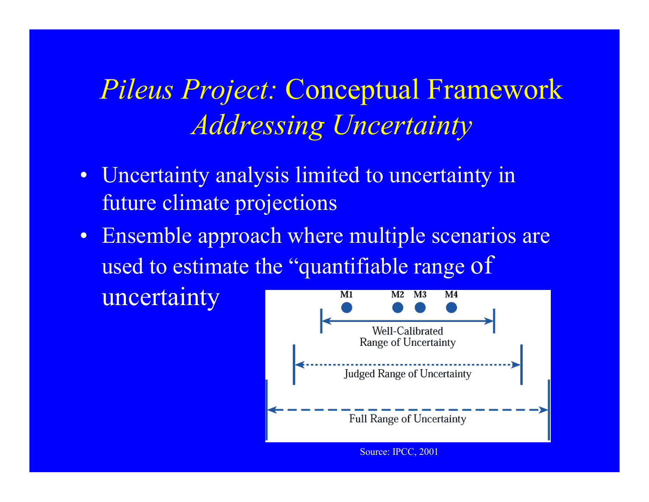## *Pileus Project:* Conceptual Framework *Addressing Uncertainty*

- • Uncertainty analysis limited to uncertainty in future climate projections
- Ensemble approach where multiple scenarios are used to estimate the "quantifiable range of

uncertainty

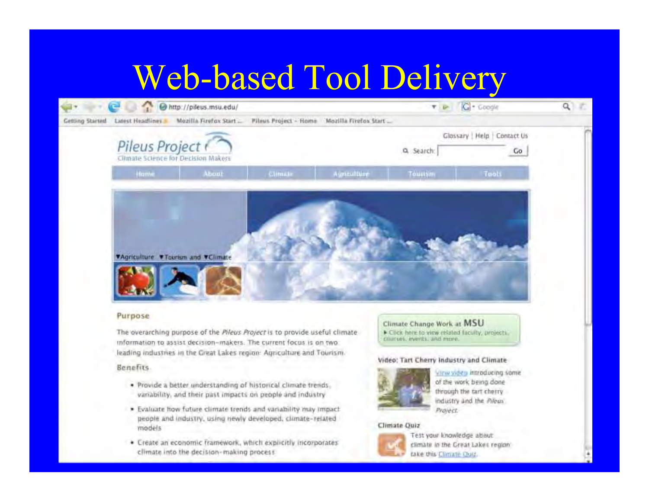# **Web-based Tool Delivery**



#### Purpose

The overarching purpose of the Pileus Project is to provide useful climate information to assist decision-makers. The current focus is on two. leading industries in the Great Lakes region: Agriculture and Tourism.

#### Benefits

- · Provide a better understanding of historical climate trends. variability, and their past impacts on people and industry
- > Evaluate how future climate trends and variability may impact people and industry, using newly developed, climate-related models
- · Create an economic framework, which explicitly incorporates climate into the decision-making process.

Clintate Change Work at MSU Click here to view related faculty, projects. courses, events, and more.

#### Video: Tart Cherry Industry and Climate



View video introducing some of the work being done through the tart cherry. industry and the Pileux Project.

#### Climate Quiz



Test your knowledge about climate in the Great Lakes region' take this Climate Outz.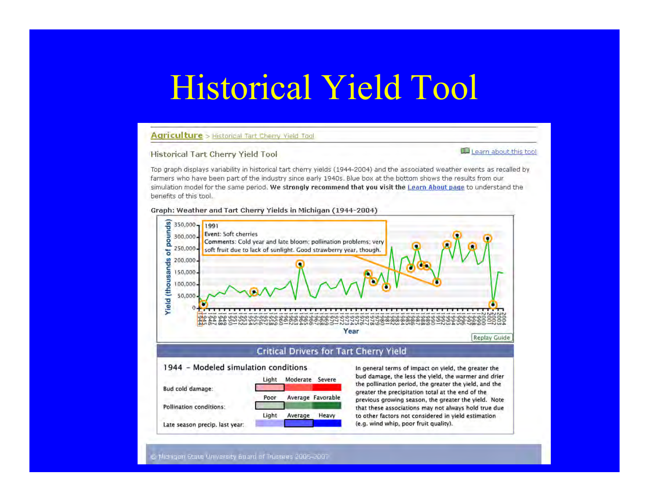## Historical Yield Tool

### Agriculture > Historical Tart Cherry Vield Tool

#### **Historical Tart Cherry Yield Tool**

Learn about this tool

Top graph displays variability in historical tart cherry yields (1944-2004) and the associated weather events as recalled by farmers who have been part of the industry since early 1940s. Blue box at the bottom shows the results from our simulation model for the same period. We strongly recommend that you visit the Learn About page to understand the benefits of this tool.

Graph: Weather and Tart Cherry Yields in Michigan (1944-2004)



@ Michigan State University Board of Trustees 2005–2007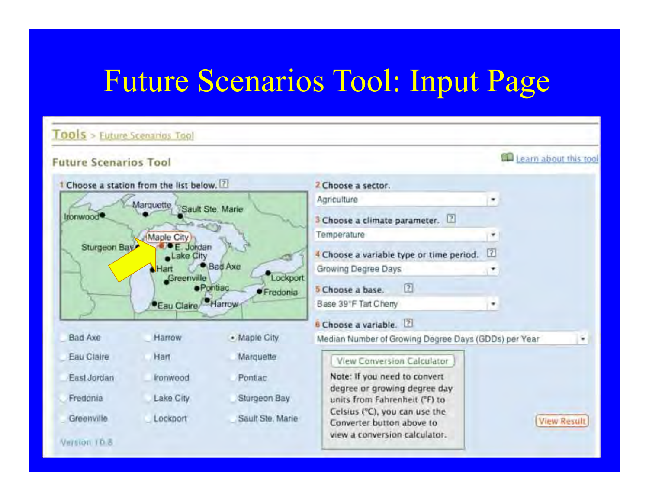## Future Scenarios Tool: Input Page

#### Tools > Future Scenarios Tool Learn about this tool **Future Scenarios Tool** <sup>1</sup> Choose a station from the list below.<sup>[7]</sup> 2 Choose a sector. Agriculture Marquette Sault Ste. Marie Ironwood<sup>®</sup> 3 Choose a climate parameter. [2] **HOTH** Temperature ۰ Maple City Sturgeon Bay **E** Jordan  $\boxed{7}$ <sup>4</sup> Choose a variable type or time period. Lake City Bad Axe Growing Degree Days Hart ٠ Lockport Greenville **•Pontiac**  $\sqrt{2}$ 5 Choose a base. **•**Fredonia Eau Claire Harrow Base 39°F Tart Cherry ٠ 6 Choose a variable. [2] Bad Axe · Maple City Harrow Median Number of Growing Degree Days (GDDs) per Year × Eau Claire Hart Marquette View Conversion Calculator Note: If you need to convert. East Jordan **Ironwood** Pontiac degree or growing degree day Fredonia Lake City Sturgeon Bay units from Fahrenheit ("F) to Celsius (°C), you can use the Greenville Lockport Sault Ste. Marie **View Result** Converter button above to view a conversion calculator. Version 10.8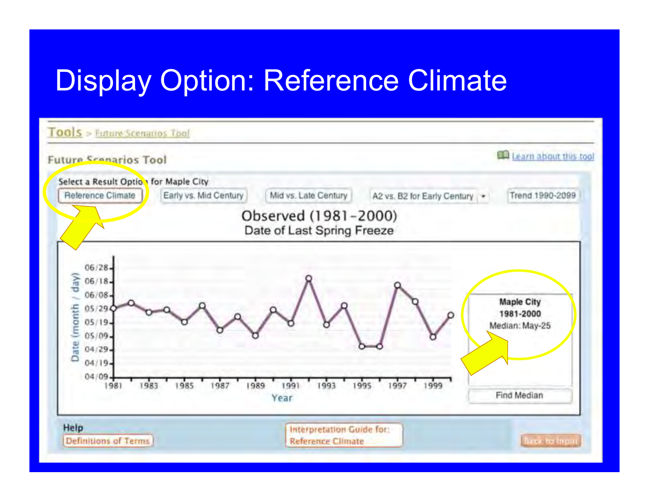## Display Option: Reference Climate

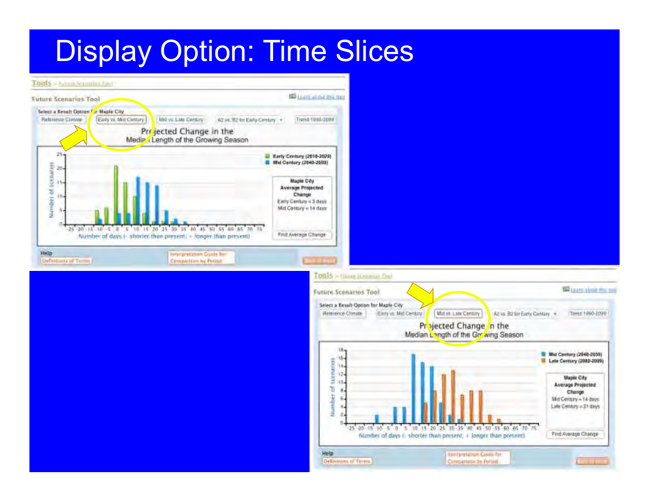## Display Option: Time Slices

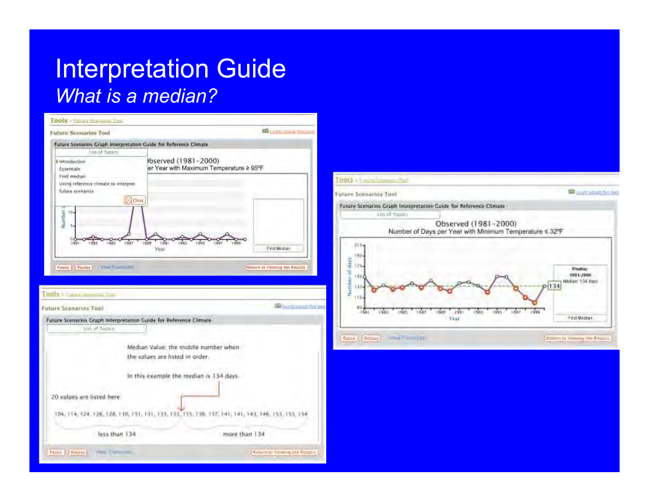### Interpretation Guide*What is a median?*



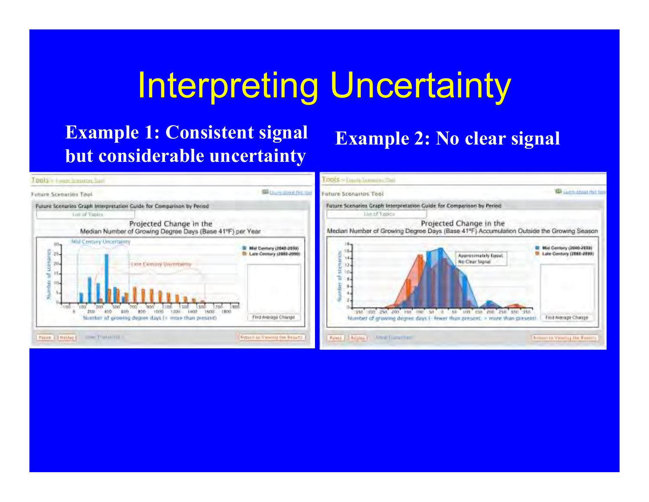# Interpreting Uncertainty

### **Example 1: Consistent signal but considerable uncertainty**

### **Example 2: No clear signal**

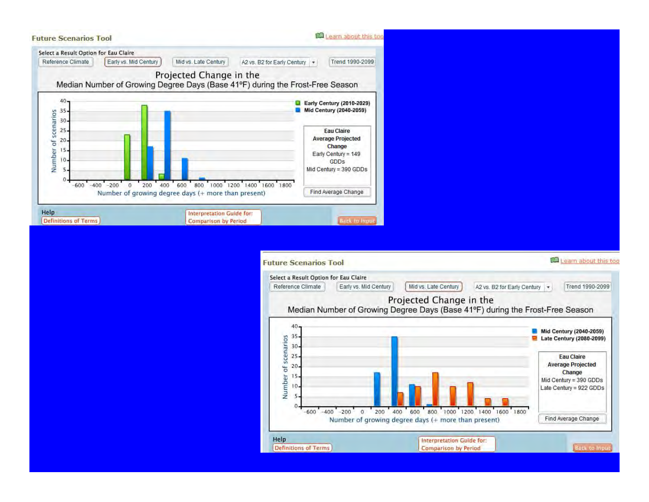![](_page_17_Figure_0.jpeg)

![](_page_17_Figure_1.jpeg)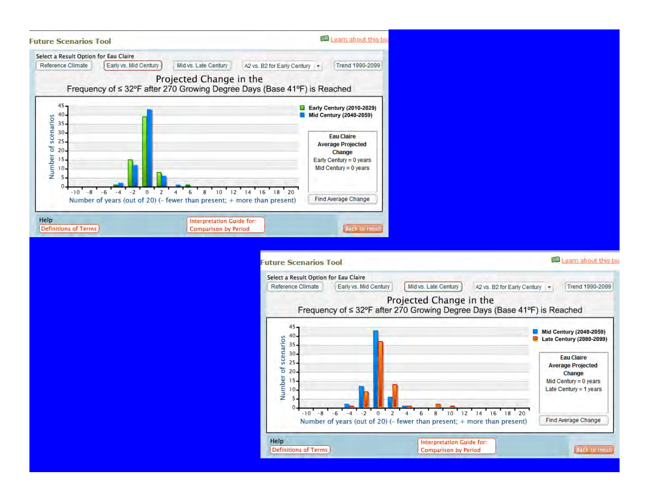![](_page_18_Figure_0.jpeg)

![](_page_18_Figure_1.jpeg)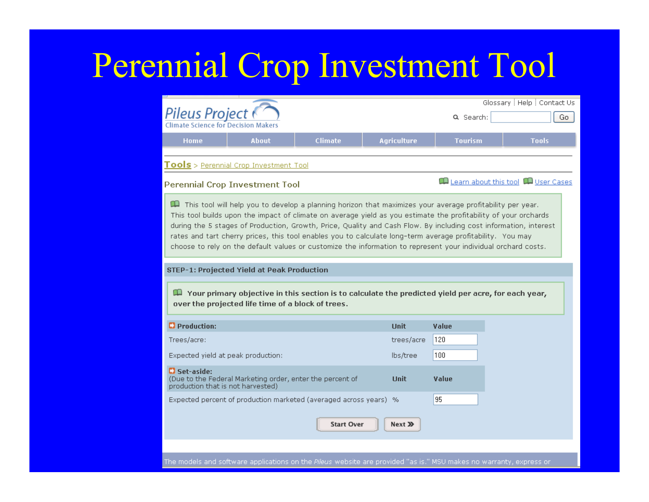# Perennial Crop Investment Tool

|                                                                                                                                                                                                                                                                                                                                                                                                                                                                                                                                                                                                                                                                                    |                                                                   |                   | Glossary   Help   Contact Us |                |              |  |  |  |  |
|------------------------------------------------------------------------------------------------------------------------------------------------------------------------------------------------------------------------------------------------------------------------------------------------------------------------------------------------------------------------------------------------------------------------------------------------------------------------------------------------------------------------------------------------------------------------------------------------------------------------------------------------------------------------------------|-------------------------------------------------------------------|-------------------|------------------------------|----------------|--------------|--|--|--|--|
| <b>Pileus Project</b><br>Climate Science for Decision Makers                                                                                                                                                                                                                                                                                                                                                                                                                                                                                                                                                                                                                       |                                                                   | Q Search:<br>Go.  |                              |                |              |  |  |  |  |
| <b>Home</b>                                                                                                                                                                                                                                                                                                                                                                                                                                                                                                                                                                                                                                                                        | About                                                             | Climate           | <b>Agriculture</b>           | <b>Tourism</b> | <b>Tools</b> |  |  |  |  |
| Tools > Perennial Crop Investment Tool                                                                                                                                                                                                                                                                                                                                                                                                                                                                                                                                                                                                                                             |                                                                   |                   |                              |                |              |  |  |  |  |
| <b>The Learn about this tool Conver Cases</b><br><b>Perennial Crop Investment Tool</b>                                                                                                                                                                                                                                                                                                                                                                                                                                                                                                                                                                                             |                                                                   |                   |                              |                |              |  |  |  |  |
| This tool builds upon the impact of climate on average yield as you estimate the profitability of your orchards<br>during the 5 stages of Production, Growth, Price, Quality and Cash Flow. By including cost information, interest<br>rates and tart cherry prices, this tool enables you to calculate long-term average profitability. You may<br>choose to rely on the default values or customize the information to represent your individual orchard costs.<br>STEP-1: Projected Yield at Peak Production<br>$\Box$ Your primary objective in this section is to calculate the predicted yield per acre, for each year,<br>over the projected life time of a block of trees. |                                                                   |                   |                              |                |              |  |  |  |  |
| $\Box$ Production:                                                                                                                                                                                                                                                                                                                                                                                                                                                                                                                                                                                                                                                                 |                                                                   |                   | <b>Unit</b>                  | Value          |              |  |  |  |  |
| Trees/acre:                                                                                                                                                                                                                                                                                                                                                                                                                                                                                                                                                                                                                                                                        |                                                                   |                   | trees/acre                   | 120            |              |  |  |  |  |
| Expected yield at peak production:                                                                                                                                                                                                                                                                                                                                                                                                                                                                                                                                                                                                                                                 |                                                                   |                   | lbs/tree                     | 100            |              |  |  |  |  |
| $\blacksquare$ Set-aside:<br>production that is not harvested)                                                                                                                                                                                                                                                                                                                                                                                                                                                                                                                                                                                                                     | (Due to the Federal Marketing order, enter the percent of         |                   | <b>Unit</b>                  | Value          |              |  |  |  |  |
|                                                                                                                                                                                                                                                                                                                                                                                                                                                                                                                                                                                                                                                                                    | Expected percent of production marketed (averaged across years) % | 95                |                              |                |              |  |  |  |  |
|                                                                                                                                                                                                                                                                                                                                                                                                                                                                                                                                                                                                                                                                                    |                                                                   | <b>Start Over</b> | $Next$ $\gg$                 |                |              |  |  |  |  |
|                                                                                                                                                                                                                                                                                                                                                                                                                                                                                                                                                                                                                                                                                    |                                                                   |                   |                              |                |              |  |  |  |  |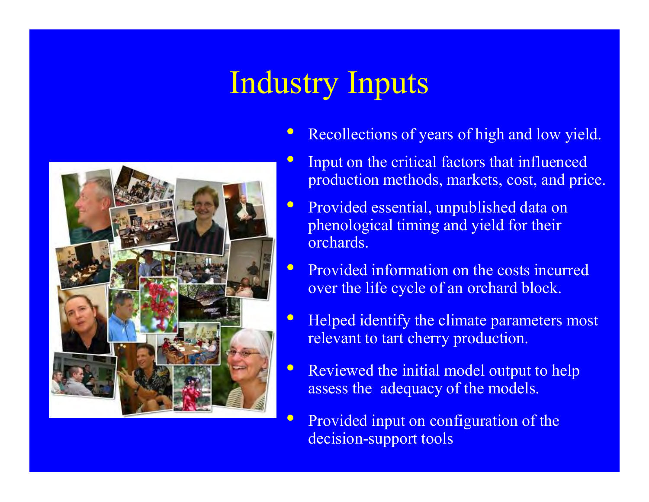## Industry Inputs

![](_page_20_Picture_1.jpeg)

- $\bullet$ Recollections of years of high and low yield.
- $\bullet$  Input on the critical factors that influenced production methods, markets, cost, and price.
- $\bullet$  Provided essential, unpublished data on phenological timing and yield for their orchards.
- $\bullet$  Provided information on the costs incurred over the life cycle of an orchard block.
- $\bullet$  Helped identify the climate parameters most relevant to tart cherry production.
- $\bullet$  Reviewed the initial model output to help assess the adequacy of the models.
- $\bullet$  Provided input on configuration of the decision-support tools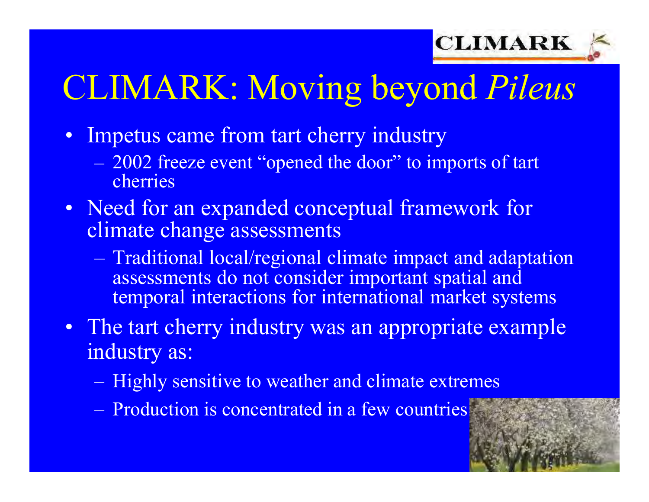![](_page_21_Picture_0.jpeg)

![](_page_21_Picture_1.jpeg)

# CLIMARK: Moving beyond *Pileus*

- $\bullet$  Impetus came from tart cherry industry
	- 2002 freeze event "opened the door" to imports of tart cherries
- Need for an expanded conceptual framework for<br>climate change assessments climate change assessments
	- $\mathcal{L}_{\mathcal{A}}$  Traditional local/regional climate impact and adaptation assessments do not consider important spatial and temporal interactions for international market systems
- The tart cherry industry was an appropriate example industry as: industry as:
	- Highly sensitive to weather and climate extremes
	- $\mathcal{L}_{\mathcal{A}}$ Production is concentrated in a few countries

![](_page_21_Picture_10.jpeg)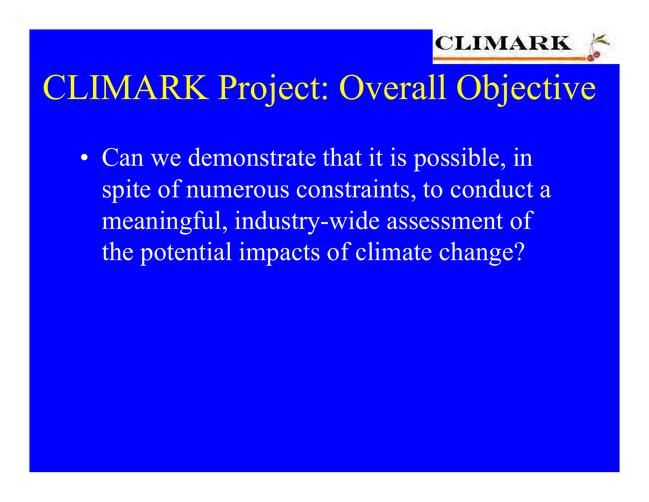![](_page_22_Picture_0.jpeg)

![](_page_22_Picture_1.jpeg)

# CLIMARK Project: Overall Objective

• Can we demonstrate that it is possible, in spite of numerous constraints, to conduct a meaningful, industry-wide assessment of the potential impacts of climate change?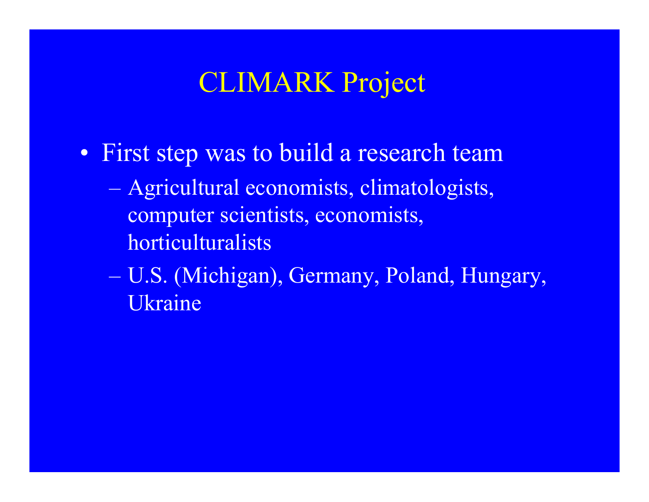### CLIMARK Project

- First step was to build a research team
	- <u>– Liberator Angelski, politik artistik (d. 1878)</u> Agricultural economists, climatologists, computer scientists, economists, horticulturalists
	- $\mathcal{L}_{\mathcal{A}}$ U.S. (Michigan), Germany, Poland, Hungary, Ukraine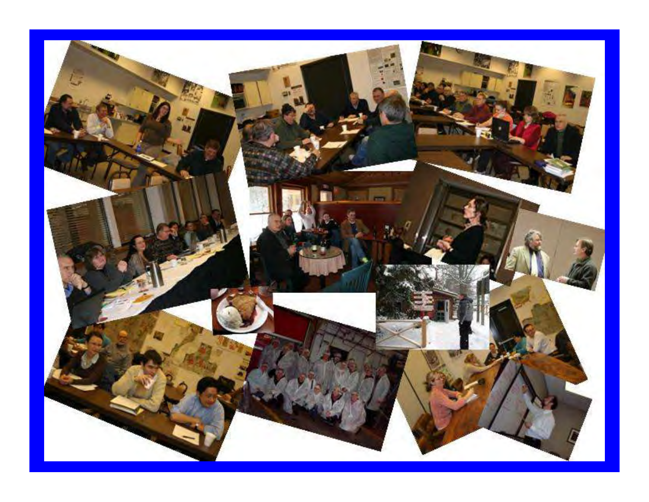![](_page_24_Picture_0.jpeg)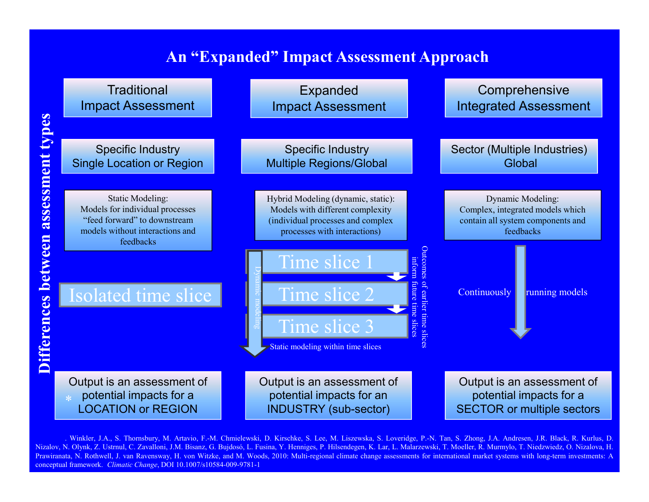### **An "Expanded" Impact Assessment Approach**

![](_page_25_Figure_1.jpeg)

. Winkler, J.A., S. Thornsbury, M. Artavio, F.-M. Chmielewski, D. Kirschke, S. Lee, M. Liszewska, S. Loveridge, P.-N. Tan, S. Zhong, J.A. Andresen, J.R. Black, R. Kurlus, D. Nizalov, N. Olynk, Z. Ustrnul, C. Zavalloni, J.M. Bisanz, G. Bujdosó, L. Fusina, Y. Henniges, P. Hilsendegen, K. Lar, L. Malarzewski, T. Moeller, R. Murmylo, T. Niedzwiedz, O. Nizalova, H. Prawiranata, N. Rothwell, J. van Ravensway, H. von Witzke, and M. Woods, 2010: Multi-regional climate change assessments for international market systems with long-term investments: A conceptual framework. *Climatic Change*, DOI 10.1007/s10584-009-9781-1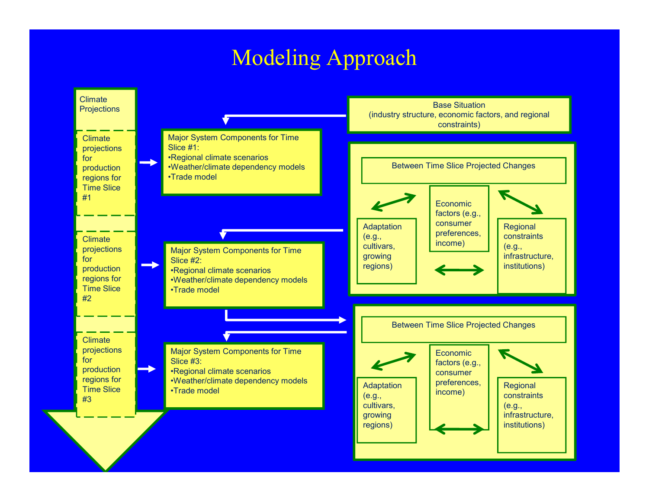### Modeling Approach

![](_page_26_Figure_1.jpeg)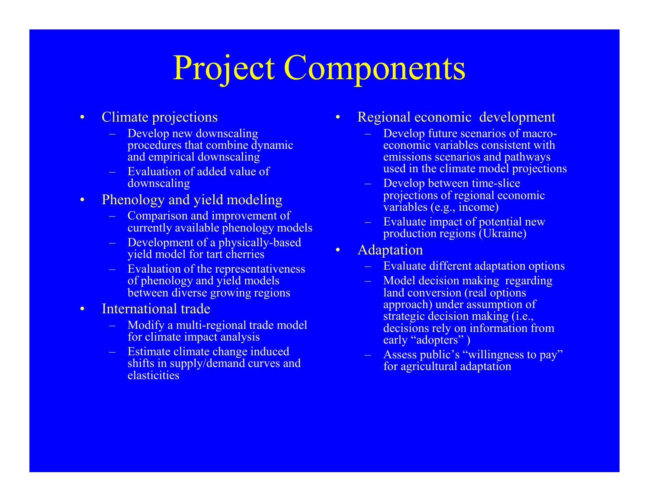# Project Components

#### •Climate projections

- Develop new downscaling procedures that combine dynamic and empirical downscaling
- Evaluation of added value of downscaling

#### $\bullet$ Phenology and yield modeling

- Comparison and improvement of currently available phenology models
- Development of a physically-based yield model for tart cherries
- **Evaluation of the representativeness** of phenology and yield models between diverse growing regions
- $\bullet$  International trade
	- Modify a multi-regional trade model for climate impact analysis
	- Estimate climate change induced<br>shifts in sunnly/demand curves are shifts in supply/demand curves and elasticities
- • Regional economic development
	- Develop future scenarios of macroeconomic variables consistent with emissions scenarios and pathways used in the climate model projections
	- Develop between time-slice projections of regional economic variables (e.g., income)
	- Evaluate impact of potential new<br>production regions (Hkraine) production regions (Ukraine)
- • Adaptation
	- Evaluate different adaptation options
	- Model decision making regarding land conversion (real options approach) under assumption of strategic decision making (i.e., decisions rely on information from early "adopters")
	- Assess public's "willingness to pay" for agricultural adaptation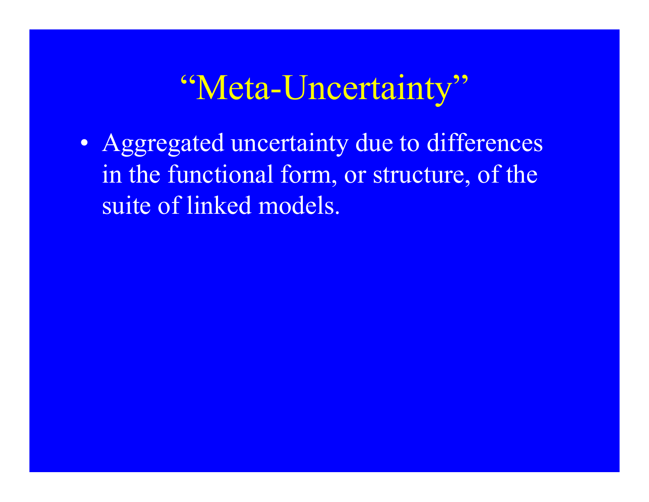## "Meta-Uncertainty"

• Aggregated uncertainty due to differences in the functional form, or structure, of the suite of linked models.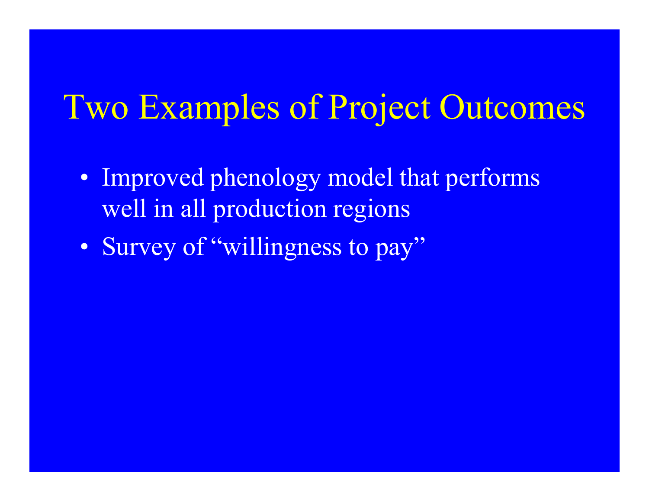# Two Examples of Project Outcomes

- Improved phenology model that performs well in all production regions
- Survey of "willingness to pay"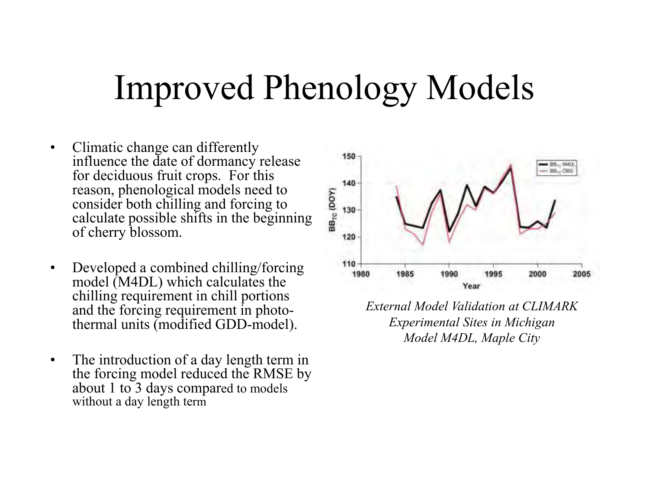# Improved Phenology Models

- $\bullet$  Climatic change can differently influence the date of dormancy release for deciduous fruit crops. For this reason, phenological models need to consider both chilling and forcing to calculate possible shifts in the beginning of cherry blossom.
- $\bullet$  Developed a combined chilling/forcing model (M4DL) which calculates the chilling requirement in chill portions and the forcing requirement in photothermal units (modified GDD-model).
- $\bullet$  The introduction of a day length term in the forcing model reduced the RMSE by about 1 to 3 days compared to models without a day length term

![](_page_30_Figure_4.jpeg)

*External Model Validation at CLIMARK Experimental Sites in Michigan Model M4DL, Maple City*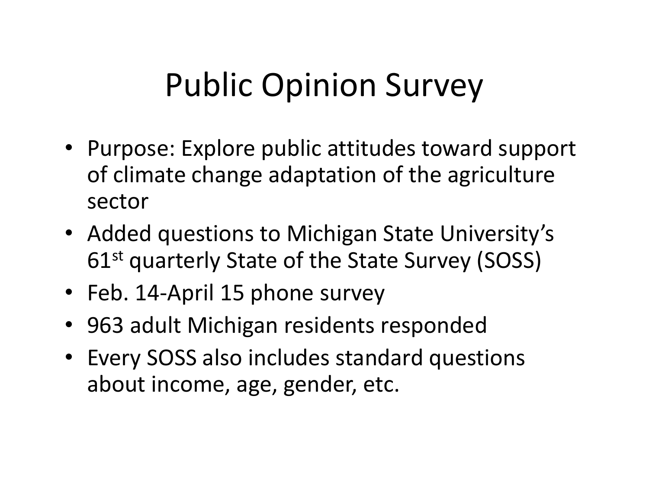# Public Opinion Survey

- Purpose: Explore public attitudes toward support of climate change adaptation of the agriculture sector
- Added questions to Michigan State University's 61st quarterly State of the State Survey (SOSS)
- Feb. 14-April 15 phone survey
- 963 adult Michigan residents responded
- Every SOSS also includes standard questions about income, age, gender, etc.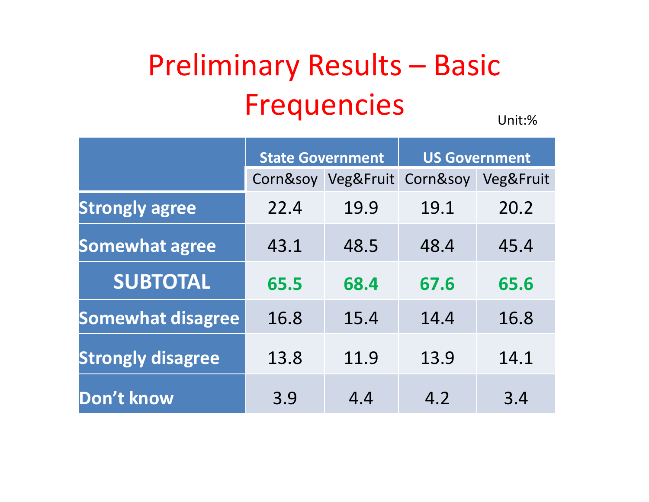# Preliminary Results – Basic Frequencies

Unit:%

|                          | <b>State Government</b> |                    | <b>US Government</b> |           |  |
|--------------------------|-------------------------|--------------------|----------------------|-----------|--|
|                          |                         | Corn&soy Veg&Fruit | Corn&soy             | Veg&Fruit |  |
| <b>Strongly agree</b>    | 22.4                    | 19.9               | 19.1                 | 20.2      |  |
| <b>Somewhat agree</b>    | 43.1                    | 48.5               | 48.4                 | 45.4      |  |
| <b>SUBTOTAL</b>          | 65.5                    | 68.4               | 67.6                 | 65.6      |  |
| <b>Somewhat disagree</b> | 16.8                    | 15.4               | 14.4                 | 16.8      |  |
| <b>Strongly disagree</b> | 13.8                    | 11.9               | 13.9                 | 14.1      |  |
| Don't know               | 3.9                     | 4.4                | 4.2                  | 3.4       |  |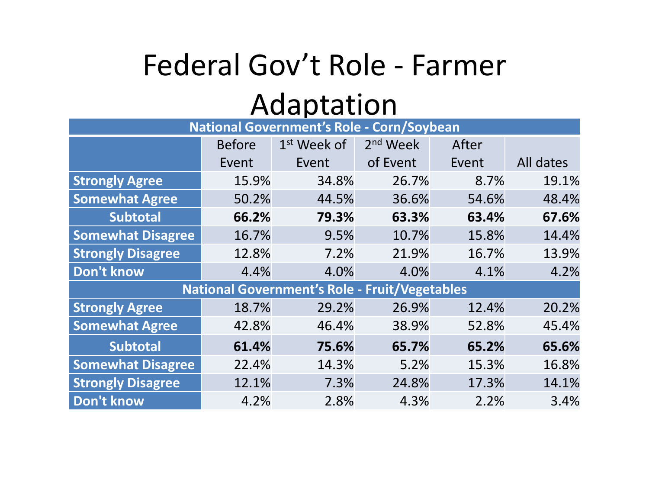# Federal Gov't Role - Farmer

## Adaptation

| <b>National Government's Role - Corn/Soybean</b>     |               |               |                      |       |           |  |  |  |  |
|------------------------------------------------------|---------------|---------------|----------------------|-------|-----------|--|--|--|--|
|                                                      | <b>Before</b> | $1st$ Week of | 2 <sup>nd</sup> Week | After |           |  |  |  |  |
|                                                      | Event         | Event         | of Event             | Event | All dates |  |  |  |  |
| <b>Strongly Agree</b>                                | 15.9%         | 34.8%         | 26.7%                | 8.7%  | 19.1%     |  |  |  |  |
| <b>Somewhat Agree</b>                                | 50.2%         | 44.5%         | 36.6%                | 54.6% | 48.4%     |  |  |  |  |
| <b>Subtotal</b>                                      | 66.2%         | 79.3%         | 63.3%                | 63.4% | 67.6%     |  |  |  |  |
| <b>Somewhat Disagree</b>                             | 16.7%         | 9.5%          | 10.7%                | 15.8% | 14.4%     |  |  |  |  |
| <b>Strongly Disagree</b>                             | 12.8%         | 7.2%          | 21.9%                | 16.7% | 13.9%     |  |  |  |  |
| <b>Don't know</b>                                    | 4.4%          | 4.0%          | 4.0%                 | 4.1%  | 4.2%      |  |  |  |  |
| <b>National Government's Role - Fruit/Vegetables</b> |               |               |                      |       |           |  |  |  |  |
| <b>Strongly Agree</b>                                | 18.7%         | 29.2%         | 26.9%                | 12.4% | 20.2%     |  |  |  |  |
| <b>Somewhat Agree</b>                                | 42.8%         | 46.4%         | 38.9%                | 52.8% | 45.4%     |  |  |  |  |
| <b>Subtotal</b>                                      | 61.4%         | 75.6%         | 65.7%                | 65.2% | 65.6%     |  |  |  |  |
| <b>Somewhat Disagree</b>                             | 22.4%         | 14.3%         | 5.2%                 | 15.3% | 16.8%     |  |  |  |  |
| <b>Strongly Disagree</b>                             | 12.1%         | 7.3%          | 24.8%                | 17.3% | 14.1%     |  |  |  |  |
| <b>Don't know</b>                                    | 4.2%          | 2.8%          | 4.3%                 | 2.2%  | 3.4%      |  |  |  |  |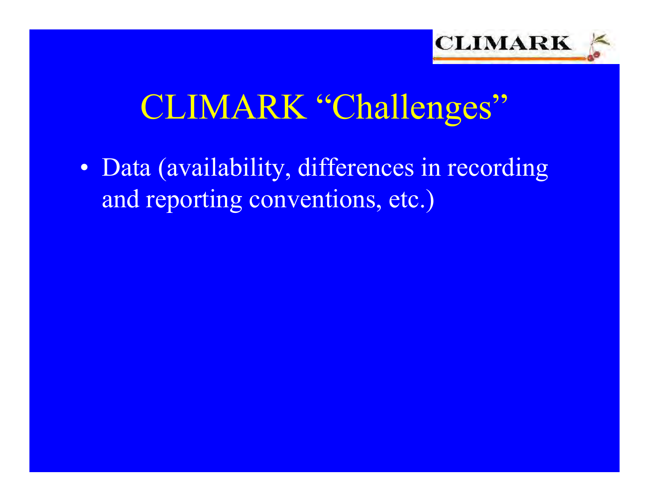![](_page_34_Picture_0.jpeg)

# CLIMARK "Challenges"

• Data (availability, differences in recording and reporting conventions, etc.)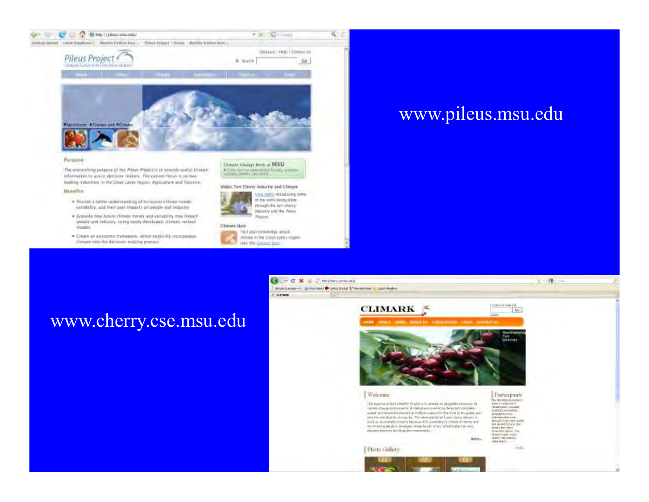![](_page_35_Picture_0.jpeg)

infarmation to assist depistor makers. The current facult is no too. leading visitation in the Deat Later region. Application and Taxiston.

#### Benefits

- · Woods a latter understanding at humanital climate travels. watability, and their past impacts an unspie and industry.
- · Evaluate now helps be attended and loanstalling may impact aropii and infactry, using neely developed, clintate-related models
- Суната ал ноохратно глатничких, мужет подостій тиситровани climate vita the decision-making process-

![](_page_35_Picture_6.jpeg)

![](_page_35_Picture_7.jpeg)

When public including comeof the world. Being platesprespirits art chem-Infantry ord the Alice Photent

c.

CURPHIE

 $-$  C  $X$   $y$   $=$  Motherdonaldi

серверница и с од можно в симплатей V политике у завлением

#### Climate Quiz Test your knowledge allow stream to the Great Lakes request like the Centre Dott

### www.pileus.msu.edu

![](_page_35_Picture_12.jpeg)

**BOON** 

### www.cherry.cse.msu.edu

![](_page_35_Picture_14.jpeg)

#### Welcome

CLIMARK

(iii) algorithm of the CLIMAPS (Project in this twenty on all rightful himselver for similarity through process and all professions to welcome professor in the condition of suite and hyperal dynamics at million analysisme for their is the abided and tere to merical in announce, the minimizerable burning on a stary in and as a series of the series of mellimind abstallers circuitates characteristic of any principal list labor. Jims about the book on the state of the control of the

#### Photo Ginery

Participants  $\begin{tabular}{|c|c|} \hline \textbf{1} & \textbf{0} & \textbf{0} & \textbf{0} & \textbf{0} & \textbf{0} & \textbf{0} & \textbf{0} & \textbf{0} & \textbf{0} & \textbf{0} & \textbf{0} & \textbf{0} & \textbf{0} & \textbf{0} & \textbf{0} & \textbf{0} & \textbf{0} & \textbf{0} & \textbf{0} & \textbf{0} & \textbf{0} & \textbf{0} & \textbf{0} & \textbf{0} & \textbf{0} & \textbf{0} & \textbf{0} & \textbf{0} & \text$ **HECOHOL** 

 $0.1$ 

一体一

 $-1$